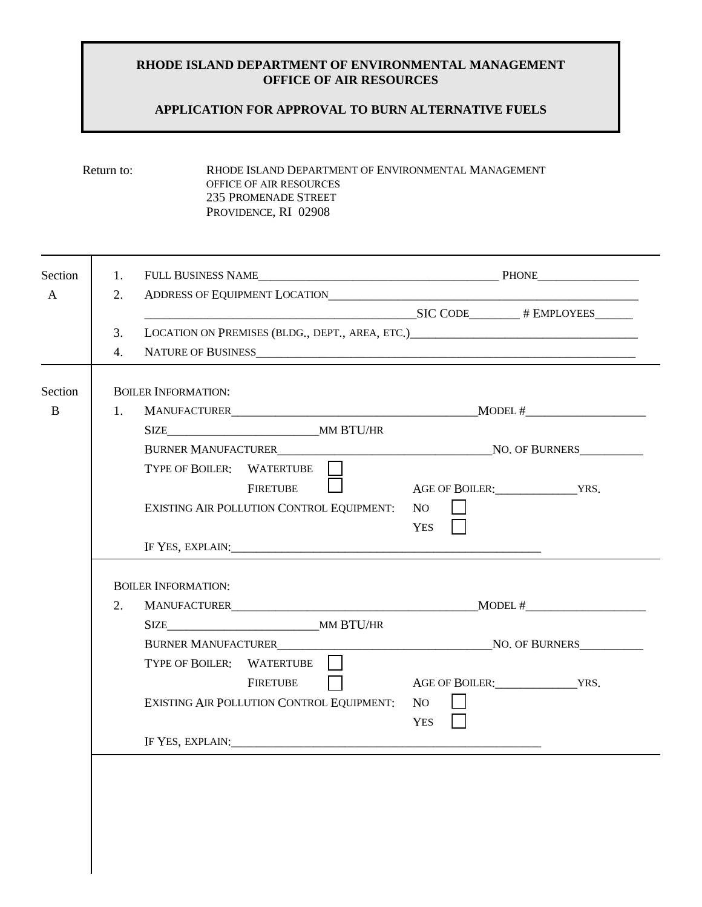### **RHODE ISLAND DEPARTMENT OF ENVIRONMENTAL MANAGEMENT OFFICE OF AIR RESOURCES**

# **APPLICATION FOR APPROVAL TO BURN ALTERNATIVE FUELS**

| RHODE ISLAND DEPARTMENT OF ENVIRONMENTAL MANAGEMENT |
|-----------------------------------------------------|
| OFFICE OF AIR RESOURCES                             |
| 235 PROMENADE STREET                                |
| PROVIDENCE, RI 02908                                |
|                                                     |

| Section      | 1. |                                                                                                                                                                                                                                |                |                     |  |
|--------------|----|--------------------------------------------------------------------------------------------------------------------------------------------------------------------------------------------------------------------------------|----------------|---------------------|--|
| A            | 2. | ADDRESS OF EQUIPMENT LOCATION CONTRACT AND RESIDENCE AND RESIDENCE AND RESIDENCE AND RESIDENCE AND RESIDENCE AND RESIDENCE AND RESIDENCE AND RESIDENCE AND RESIDENCE AND RESIDENCE AND RESIDENCE AND RESIDENCE AND RESIDENCE A |                |                     |  |
|              |    | $SIC CODE$ # EMPLOYEES                                                                                                                                                                                                         |                |                     |  |
|              | 3. | LOCATION ON PREMISES (BLDG., DEPT., AREA, ETC.)                                                                                                                                                                                |                |                     |  |
|              | 4. |                                                                                                                                                                                                                                |                |                     |  |
|              |    |                                                                                                                                                                                                                                |                |                     |  |
| Section      |    | <b>BOILER INFORMATION:</b>                                                                                                                                                                                                     |                |                     |  |
| $\mathbf{B}$ | 1. |                                                                                                                                                                                                                                |                |                     |  |
|              |    |                                                                                                                                                                                                                                |                |                     |  |
|              |    |                                                                                                                                                                                                                                |                |                     |  |
|              |    | TYPE OF BOILER: WATERTUBE                                                                                                                                                                                                      |                |                     |  |
|              |    | <u>station and the stational property</u><br><b>FIRETUBE</b>                                                                                                                                                                   |                | AGE OF BOILER: YRS. |  |
|              |    | EXISTING AIR POLLUTION CONTROL EQUIPMENT:                                                                                                                                                                                      | N <sub>O</sub> |                     |  |
|              |    |                                                                                                                                                                                                                                |                |                     |  |
|              |    |                                                                                                                                                                                                                                | YES            |                     |  |
|              |    |                                                                                                                                                                                                                                |                |                     |  |
|              |    |                                                                                                                                                                                                                                |                |                     |  |
|              |    | <b>BOILER INFORMATION:</b>                                                                                                                                                                                                     |                |                     |  |
|              | 2. | MANUFACTURER <b>MANUFACTURER</b>                                                                                                                                                                                               |                | MODEL #             |  |
|              |    | SIZE MM BTU/HR                                                                                                                                                                                                                 |                |                     |  |
|              |    |                                                                                                                                                                                                                                |                |                     |  |
|              |    | TYPE OF BOILER: WATERTUBE                                                                                                                                                                                                      |                |                     |  |
|              |    | <b>FIRETUBE</b>                                                                                                                                                                                                                |                |                     |  |
|              |    |                                                                                                                                                                                                                                | NO.            | AGE OF BOILER: YRS. |  |
|              |    | EXISTING AIR POLLUTION CONTROL EQUIPMENT:                                                                                                                                                                                      |                |                     |  |
|              |    |                                                                                                                                                                                                                                | YES            |                     |  |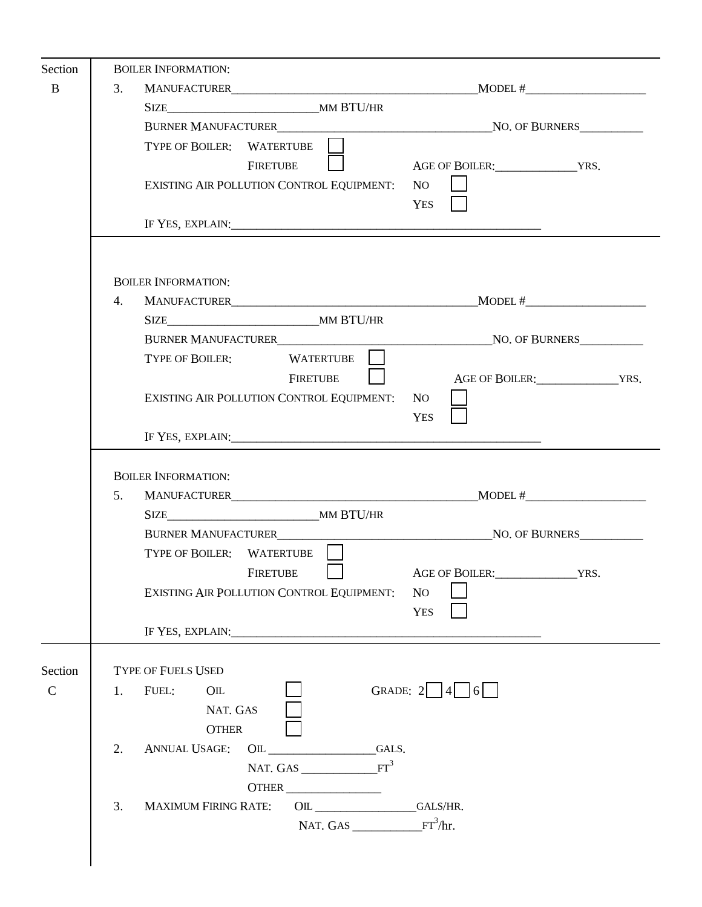| Section                |    | <b>BOILER INFORMATION:</b>                                                                                                                                                                                                     |                                                     |
|------------------------|----|--------------------------------------------------------------------------------------------------------------------------------------------------------------------------------------------------------------------------------|-----------------------------------------------------|
| $\bf{B}$               | 3. |                                                                                                                                                                                                                                | $MODEL \#$                                          |
|                        |    |                                                                                                                                                                                                                                |                                                     |
|                        |    |                                                                                                                                                                                                                                |                                                     |
|                        |    | TYPE OF BOILER: WATERTUBE                                                                                                                                                                                                      |                                                     |
|                        |    | <b>FIRETUBE</b>                                                                                                                                                                                                                |                                                     |
|                        |    | EXISTING AIR POLLUTION CONTROL EQUIPMENT:                                                                                                                                                                                      | N <sub>O</sub>                                      |
|                        |    |                                                                                                                                                                                                                                | YES                                                 |
|                        |    |                                                                                                                                                                                                                                |                                                     |
|                        |    |                                                                                                                                                                                                                                |                                                     |
|                        |    | <b>BOILER INFORMATION:</b>                                                                                                                                                                                                     |                                                     |
|                        | 4. |                                                                                                                                                                                                                                |                                                     |
|                        |    |                                                                                                                                                                                                                                |                                                     |
|                        |    |                                                                                                                                                                                                                                |                                                     |
|                        |    | WATERTUBE    <br><b>TYPE OF BOILER:</b>                                                                                                                                                                                        |                                                     |
|                        |    | <b>FIRETUBE</b>                                                                                                                                                                                                                | AGE OF BOILER: YRS.                                 |
|                        |    | EXISTING AIR POLLUTION CONTROL EQUIPMENT:                                                                                                                                                                                      | NO.                                                 |
|                        |    |                                                                                                                                                                                                                                | <b>YES</b>                                          |
|                        |    |                                                                                                                                                                                                                                |                                                     |
|                        |    | <b>BOILER INFORMATION:</b>                                                                                                                                                                                                     |                                                     |
|                        | 5. |                                                                                                                                                                                                                                |                                                     |
|                        |    |                                                                                                                                                                                                                                |                                                     |
|                        |    |                                                                                                                                                                                                                                |                                                     |
|                        |    | TYPE OF BOILER: WATERTUBE                                                                                                                                                                                                      |                                                     |
|                        |    | FIRETUBE                                                                                                                                                                                                                       | AGE OF BOILER: YRS.                                 |
|                        |    | EXISTING AIR POLLUTION CONTROL EQUIPMENT:                                                                                                                                                                                      | N <sub>O</sub>                                      |
|                        |    |                                                                                                                                                                                                                                | <b>YES</b>                                          |
|                        |    | IF YES, EXPLAIN: The Second Second Second Second Second Second Second Second Second Second Second Second Second Second Second Second Second Second Second Second Second Second Second Second Second Second Second Second Secon |                                                     |
|                        |    | <b>TYPE OF FUELS USED</b>                                                                                                                                                                                                      |                                                     |
| Section<br>$\mathbf C$ | 1. | FUEL:<br>$_{\text{OL}}$                                                                                                                                                                                                        | GRADE: $2 \begin{array}{ c c c } 4 & 6 \end{array}$ |
|                        |    | NAT. GAS                                                                                                                                                                                                                       |                                                     |
|                        |    | <b>OTHER</b>                                                                                                                                                                                                                   |                                                     |
|                        | 2. | <b>ANNUAL USAGE:</b><br>$OL$ $GALS$ .                                                                                                                                                                                          |                                                     |
|                        |    | NAT. GAS $\begin{array}{c} \n- \text{FT}^3\n\end{array}$                                                                                                                                                                       |                                                     |
|                        |    | <b>OTHER</b>                                                                                                                                                                                                                   |                                                     |
|                        | 3. | MAXIMUM FIRING RATE: OIL GALS/HR.                                                                                                                                                                                              |                                                     |
|                        |    | NAT. GAS $\frac{F T^3}{hr}$ .                                                                                                                                                                                                  |                                                     |
|                        |    |                                                                                                                                                                                                                                |                                                     |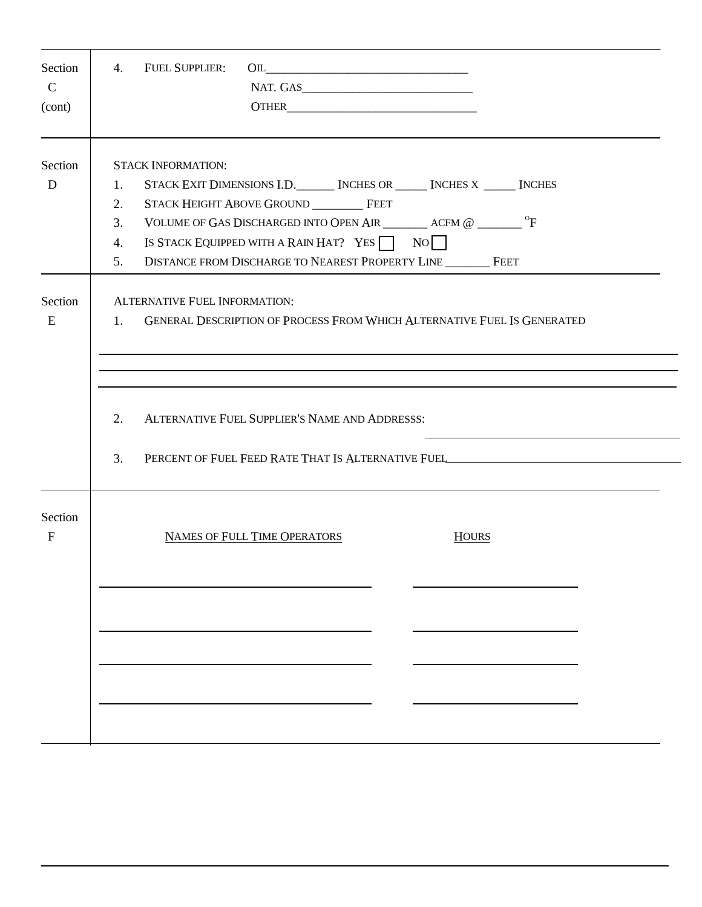| Section<br>$\mathcal{C}$<br>(cont) | <b>FUEL SUPPLIER:</b><br>4.<br>$\begin{picture}(150,10) \put(0,0){\line(1,0){10}} \put(15,0){\line(1,0){10}} \put(15,0){\line(1,0){10}} \put(15,0){\line(1,0){10}} \put(15,0){\line(1,0){10}} \put(15,0){\line(1,0){10}} \put(15,0){\line(1,0){10}} \put(15,0){\line(1,0){10}} \put(15,0){\line(1,0){10}} \put(15,0){\line(1,0){10}} \put(15,0){\line(1,0){10}} \put(15,0){\line($ |  |  |  |
|------------------------------------|------------------------------------------------------------------------------------------------------------------------------------------------------------------------------------------------------------------------------------------------------------------------------------------------------------------------------------------------------------------------------------|--|--|--|
| Section<br>D                       | <b>STACK INFORMATION:</b><br>STACK EXIT DIMENSIONS I.D. [NCHES OR ______ INCHES X _____ INCHES<br>1.<br>STACK HEIGHT ABOVE GROUND FEET<br>2.<br>VOLUME OF GAS DISCHARGED INTO OPEN AIR ___________ ACFM @ _________ ^F<br>3.<br>IS STACK EQUIPPED WITH A RAIN HAT? YES $\Box$ NO<br>4.<br>DISTANCE FROM DISCHARGE TO NEAREST PROPERTY LINE FEET<br>5.                              |  |  |  |
| Section<br>E                       | <b>ALTERNATIVE FUEL INFORMATION:</b><br>1. GENERAL DESCRIPTION OF PROCESS FROM WHICH ALTERNATIVE FUEL IS GENERATED<br>2.<br>ALTERNATIVE FUEL SUPPLIER'S NAME AND ADDRESSS:                                                                                                                                                                                                         |  |  |  |
| Section<br>$\mathbf{F}$            | 3.<br>PERCENT OF FUEL FEED RATE THAT IS ALTERNATIVE FUEL______________________________<br>NAMES OF FULL TIME OPERATORS<br><b>HOURS</b>                                                                                                                                                                                                                                             |  |  |  |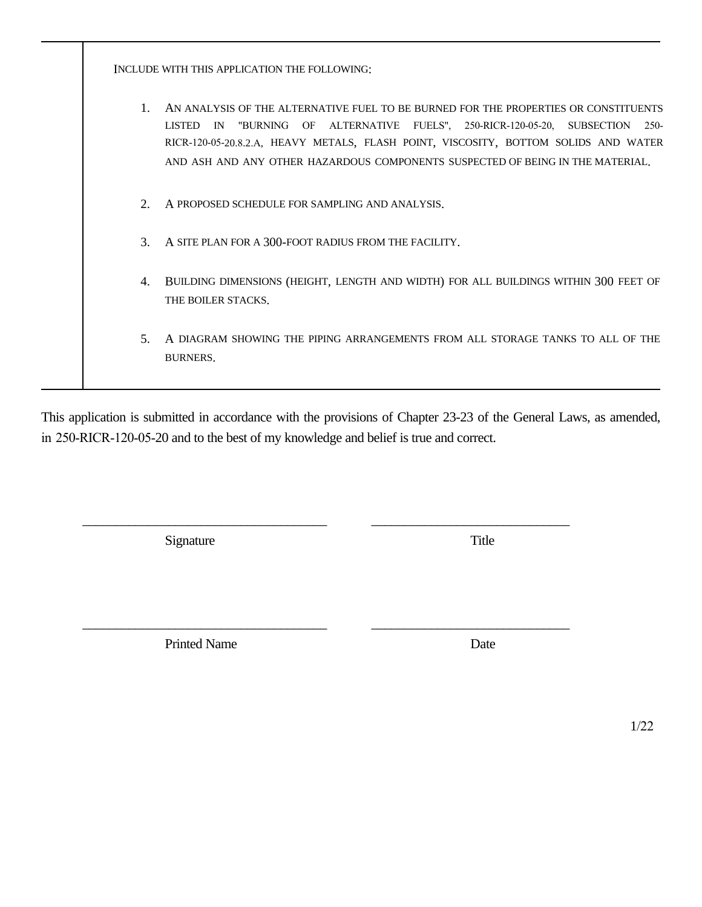INCLUDE WITH THIS APPLICATION THE FOLLOWING:

- 1. AN ANALYSIS OF THE ALTERNATIVE FUEL TO BE BURNED FOR THE PROPERTIES OR CONSTITUENTS LISTED IN "BURNING OF ALTERNATIVE FUELS", 250-RICR-120-05-20, SUBSECTION 250- RICR-120-05-20.8.2.A, HEAVY METALS, FLASH POINT, VISCOSITY, BOTTOM SOLIDS AND WATER AND ASH AND ANY OTHER HAZARDOUS COMPONENTS SUSPECTED OF BEING IN THE MATERIAL.
- 2. A PROPOSED SCHEDULE FOR SAMPLING AND ANALYSIS.
- 3. A SITE PLAN FOR A 300-FOOT RADIUS FROM THE FACILITY.
- 4. BUILDING DIMENSIONS (HEIGHT, LENGTH AND WIDTH) FOR ALL BUILDINGS WITHIN 300 FEET OF THE BOILER STACKS.
- 5. A DIAGRAM SHOWING THE PIPING ARRANGEMENTS FROM ALL STORAGE TANKS TO ALL OF THE BURNERS.

This application is submitted in accordance with the provisions of Chapter 23-23 of the General Laws, as amended, in 250-RICR-120-05-20 and to the best of my knowledge and belief is true and correct.

\_\_\_\_\_\_\_\_\_\_\_\_\_\_\_\_\_\_\_\_\_\_\_\_\_\_\_\_\_\_\_\_\_\_\_\_\_ \_\_\_\_\_\_\_\_\_\_\_\_\_\_\_\_\_\_\_\_\_\_\_\_\_\_\_\_\_\_

\_\_\_\_\_\_\_\_\_\_\_\_\_\_\_\_\_\_\_\_\_\_\_\_\_\_\_\_\_\_\_\_\_\_\_\_\_ \_\_\_\_\_\_\_\_\_\_\_\_\_\_\_\_\_\_\_\_\_\_\_\_\_\_\_\_\_\_

Signature Title

Printed Name Date

1/22